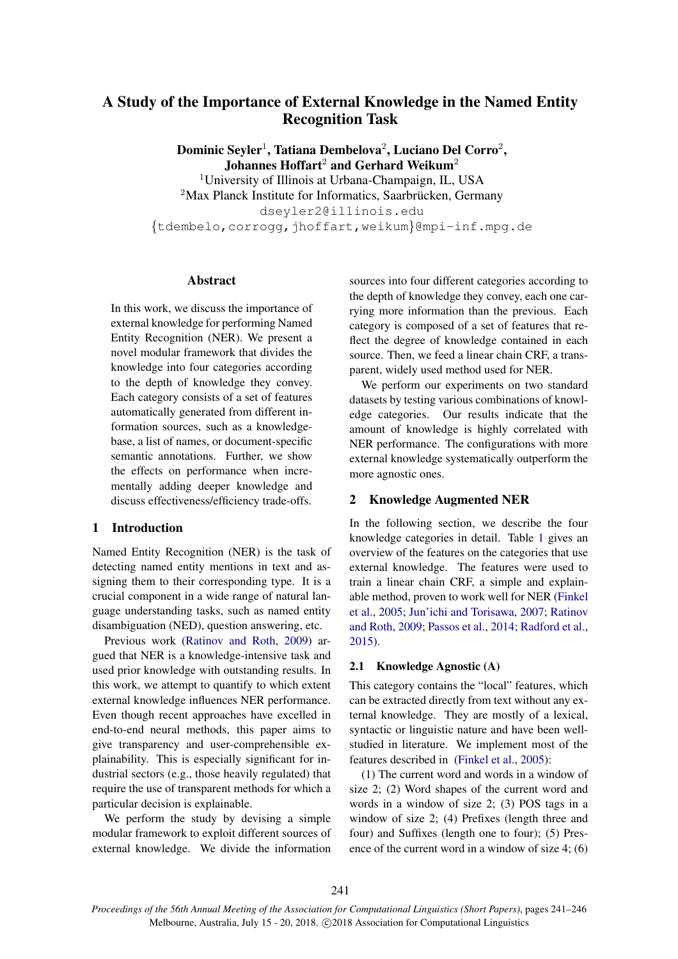# A Study of the Importance of External Knowledge in the Named Entity Recognition Task

Dominic Seyler<sup>1</sup>, Tatiana Dembelova<sup>2</sup>, Luciano Del Corro<sup>2</sup>, Johannes Hoffart<sup>2</sup> and Gerhard Weikum<sup>2</sup> <sup>1</sup>University of Illinois at Urbana-Champaign, IL, USA

 $2$ Max Planck Institute for Informatics, Saarbrücken, Germany dseyler2@illinois.edu *{*tdembelo,corrogg,jhoffart,weikum*}*@mpi-inf.mpg.de

## Abstract

In this work, we discuss the importance of external knowledge for performing Named Entity Recognition (NER). We present a novel modular framework that divides the knowledge into four categories according to the depth of knowledge they convey. Each category consists of a set of features automatically generated from different information sources, such as a knowledgebase, a list of names, or document-specific semantic annotations. Further, we show the effects on performance when incrementally adding deeper knowledge and discuss effectiveness/efficiency trade-offs.

## 1 Introduction

Named Entity Recognition (NER) is the task of detecting named entity mentions in text and assigning them to their corresponding type. It is a crucial component in a wide range of natural language understanding tasks, such as named entity disambiguation (NED), question answering, etc.

Previous work (Ratinov and Roth, 2009) argued that NER is a knowledge-intensive task and used prior knowledge with outstanding results. In this work, we attempt to quantify to which extent external knowledge influences NER performance. Even though recent approaches have excelled in end-to-end neural methods, this paper aims to give transparency and user-comprehensible explainability. This is especially significant for industrial sectors (e.g., those heavily regulated) that require the use of transparent methods for which a particular decision is explainable.

We perform the study by devising a simple modular framework to exploit different sources of external knowledge. We divide the information

sources into four different categories according to the depth of knowledge they convey, each one carrying more information than the previous. Each category is composed of a set of features that reflect the degree of knowledge contained in each source. Then, we feed a linear chain CRF, a transparent, widely used method used for NER.

We perform our experiments on two standard datasets by testing various combinations of knowledge categories. Our results indicate that the amount of knowledge is highly correlated with NER performance. The configurations with more external knowledge systematically outperform the more agnostic ones.

## 2 Knowledge Augmented NER

In the following section, we describe the four knowledge categories in detail. Table 1 gives an overview of the features on the categories that use external knowledge. The features were used to train a linear chain CRF, a simple and explainable method, proven to work well for NER (Finkel et al., 2005; Jun'ichi and Torisawa, 2007; Ratinov and Roth, 2009; Passos et al., 2014; Radford et al., 2015).

## 2.1 Knowledge Agnostic (A)

This category contains the "local" features, which can be extracted directly from text without any external knowledge. They are mostly of a lexical, syntactic or linguistic nature and have been wellstudied in literature. We implement most of the features described in (Finkel et al., 2005):

(1) The current word and words in a window of size 2; (2) Word shapes of the current word and words in a window of size 2; (3) POS tags in a window of size 2; (4) Prefixes (length three and four) and Suffixes (length one to four); (5) Presence of the current word in a window of size 4; (6)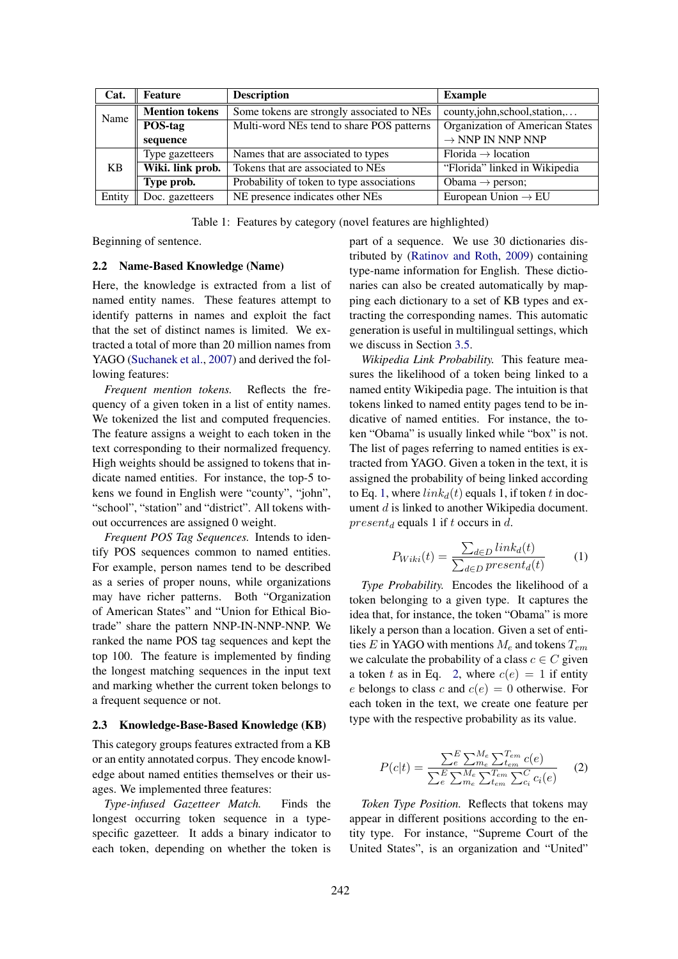| Cat.      | Feature               | <b>Description</b>                         | <b>Example</b>                  |
|-----------|-----------------------|--------------------------------------------|---------------------------------|
| Name      | <b>Mention tokens</b> | Some tokens are strongly associated to NEs | county,john,school,station,     |
|           | POS-tag               | Multi-word NEs tend to share POS patterns  | Organization of American States |
|           | sequence              |                                            | $\rightarrow$ NNP IN NNP NNP    |
| <b>KB</b> | Type gazetteers       | Names that are associated to types         | $Florida \rightarrow location$  |
|           | Wiki. link prob.      | Tokens that are associated to NEs          | "Florida" linked in Wikipedia   |
|           | Type prob.            | Probability of token to type associations  | Obama $\rightarrow$ person;     |
| Entity    | Doc. gazetteers       | NE presence indicates other NEs            | European Union $\rightarrow$ EU |

Table 1: Features by category (novel features are highlighted)

Beginning of sentence.

# 2.2 Name-Based Knowledge (Name)

Here, the knowledge is extracted from a list of named entity names. These features attempt to identify patterns in names and exploit the fact that the set of distinct names is limited. We extracted a total of more than 20 million names from YAGO (Suchanek et al., 2007) and derived the following features:

*Frequent mention tokens.* Reflects the frequency of a given token in a list of entity names. We tokenized the list and computed frequencies. The feature assigns a weight to each token in the text corresponding to their normalized frequency. High weights should be assigned to tokens that indicate named entities. For instance, the top-5 tokens we found in English were "county", "john", "school", "station" and "district". All tokens without occurrences are assigned 0 weight.

*Frequent POS Tag Sequences.* Intends to identify POS sequences common to named entities. For example, person names tend to be described as a series of proper nouns, while organizations may have richer patterns. Both "Organization of American States" and "Union for Ethical Biotrade" share the pattern NNP-IN-NNP-NNP. We ranked the name POS tag sequences and kept the top 100. The feature is implemented by finding the longest matching sequences in the input text and marking whether the current token belongs to a frequent sequence or not.

## 2.3 Knowledge-Base-Based Knowledge (KB)

This category groups features extracted from a KB or an entity annotated corpus. They encode knowledge about named entities themselves or their usages. We implemented three features:

*Type-infused Gazetteer Match.* Finds the longest occurring token sequence in a typespecific gazetteer. It adds a binary indicator to each token, depending on whether the token is part of a sequence. We use 30 dictionaries distributed by (Ratinov and Roth, 2009) containing type-name information for English. These dictionaries can also be created automatically by mapping each dictionary to a set of KB types and extracting the corresponding names. This automatic generation is useful in multilingual settings, which we discuss in Section 3.5.

*Wikipedia Link Probability.* This feature measures the likelihood of a token being linked to a named entity Wikipedia page. The intuition is that tokens linked to named entity pages tend to be indicative of named entities. For instance, the token "Obama" is usually linked while "box" is not. The list of pages referring to named entities is extracted from YAGO. Given a token in the text, it is assigned the probability of being linked according to Eq. 1, where  $link_d(t)$  equals 1, if token *t* in document *d* is linked to another Wikipedia document. *present<sup>d</sup>* equals 1 if *t* occurs in *d*.

$$
P_{Wiki}(t) = \frac{\sum_{d \in D} link_d(t)}{\sum_{d \in D} present_d(t)} \tag{1}
$$

*Type Probability.* Encodes the likelihood of a token belonging to a given type. It captures the idea that, for instance, the token "Obama" is more likely a person than a location. Given a set of entities *E* in YAGO with mentions *M<sup>e</sup>* and tokens *Tem* we calculate the probability of a class  $c \in C$  given a token *t* as in Eq. 2, where  $c(e) = 1$  if entity *e* belongs to class *c* and  $c(e) = 0$  otherwise. For each token in the text, we create one feature per type with the respective probability as its value.

$$
P(c|t) = \frac{\sum_{e}^{E} \sum_{m_{e}}^{M_{e}} \sum_{t_{em}}^{T_{em}} c(e)}{\sum_{e}^{E} \sum_{m_{e}}^{M_{e}} \sum_{t_{em}}^{T_{em}} \sum_{c_{i}}^{C} c_{i}(e)} \qquad (2)
$$

*Token Type Position.* Reflects that tokens may appear in different positions according to the entity type. For instance, "Supreme Court of the United States", is an organization and "United"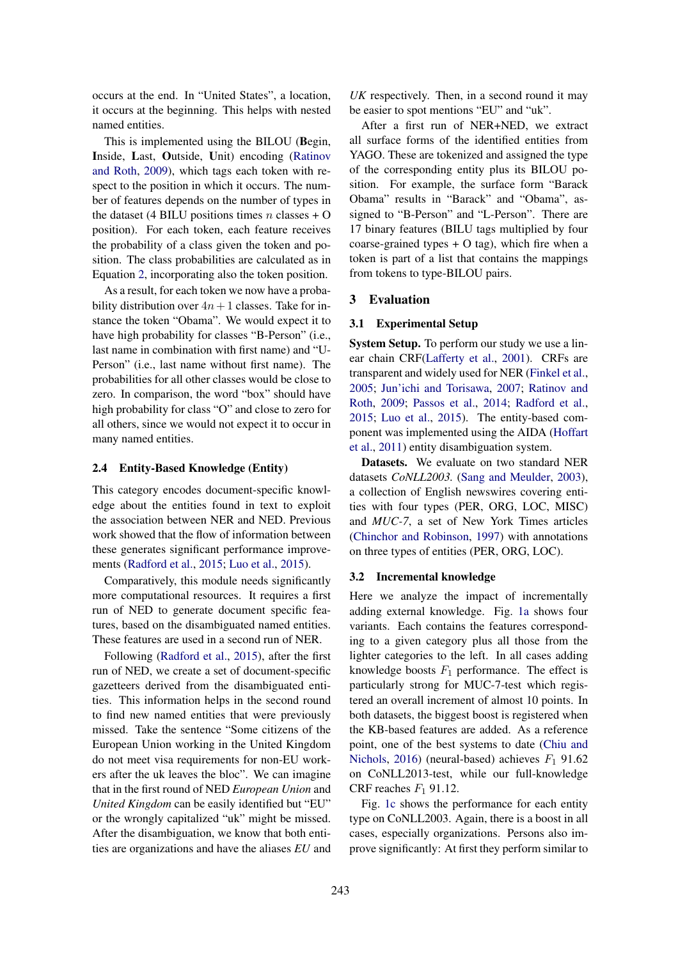occurs at the end. In "United States", a location, it occurs at the beginning. This helps with nested named entities.

This is implemented using the BILOU (Begin, Inside, Last, Outside, Unit) encoding (Ratinov and Roth, 2009), which tags each token with respect to the position in which it occurs. The number of features depends on the number of types in the dataset (4 BILU positions times  $n$  classes  $+$  O position). For each token, each feature receives the probability of a class given the token and position. The class probabilities are calculated as in Equation 2, incorporating also the token position.

As a result, for each token we now have a probability distribution over  $4n + 1$  classes. Take for instance the token "Obama". We would expect it to have high probability for classes "B-Person" (i.e., last name in combination with first name) and "U-Person" (i.e., last name without first name). The probabilities for all other classes would be close to zero. In comparison, the word "box" should have high probability for class "O" and close to zero for all others, since we would not expect it to occur in many named entities.

## 2.4 Entity-Based Knowledge (Entity)

This category encodes document-specific knowledge about the entities found in text to exploit the association between NER and NED. Previous work showed that the flow of information between these generates significant performance improvements (Radford et al., 2015; Luo et al., 2015).

Comparatively, this module needs significantly more computational resources. It requires a first run of NED to generate document specific features, based on the disambiguated named entities. These features are used in a second run of NER.

Following (Radford et al., 2015), after the first run of NED, we create a set of document-specific gazetteers derived from the disambiguated entities. This information helps in the second round to find new named entities that were previously missed. Take the sentence "Some citizens of the European Union working in the United Kingdom do not meet visa requirements for non-EU workers after the uk leaves the bloc". We can imagine that in the first round of NED *European Union* and *United Kingdom* can be easily identified but "EU" or the wrongly capitalized "uk" might be missed. After the disambiguation, we know that both entities are organizations and have the aliases *EU* and

*UK* respectively. Then, in a second round it may be easier to spot mentions "EU" and "uk".

After a first run of NER+NED, we extract all surface forms of the identified entities from YAGO. These are tokenized and assigned the type of the corresponding entity plus its BILOU position. For example, the surface form "Barack Obama" results in "Barack" and "Obama", assigned to "B-Person" and "L-Person". There are 17 binary features (BILU tags multiplied by four coarse-grained types  $+ O$  tag), which fire when a token is part of a list that contains the mappings from tokens to type-BILOU pairs.

## 3 Evaluation

### 3.1 Experimental Setup

System Setup. To perform our study we use a linear chain CRF(Lafferty et al., 2001). CRFs are transparent and widely used for NER (Finkel et al., 2005; Jun'ichi and Torisawa, 2007; Ratinov and Roth, 2009; Passos et al., 2014; Radford et al., 2015; Luo et al., 2015). The entity-based component was implemented using the AIDA (Hoffart et al., 2011) entity disambiguation system.

Datasets. We evaluate on two standard NER datasets *CoNLL2003.* (Sang and Meulder, 2003), a collection of English newswires covering entities with four types (PER, ORG, LOC, MISC) and *MUC-7*, a set of New York Times articles (Chinchor and Robinson, 1997) with annotations on three types of entities (PER, ORG, LOC).

#### 3.2 Incremental knowledge

Here we analyze the impact of incrementally adding external knowledge. Fig. 1a shows four variants. Each contains the features corresponding to a given category plus all those from the lighter categories to the left. In all cases adding knowledge boosts  $F_1$  performance. The effect is particularly strong for MUC-7-test which registered an overall increment of almost 10 points. In both datasets, the biggest boost is registered when the KB-based features are added. As a reference point, one of the best systems to date (Chiu and Nichols, 2016) (neural-based) achieves  $F_1$  91.62 on CoNLL2013-test, while our full-knowledge CRF reaches *F*<sup>1</sup> 91.12.

Fig. 1c shows the performance for each entity type on CoNLL2003. Again, there is a boost in all cases, especially organizations. Persons also improve significantly: At first they perform similar to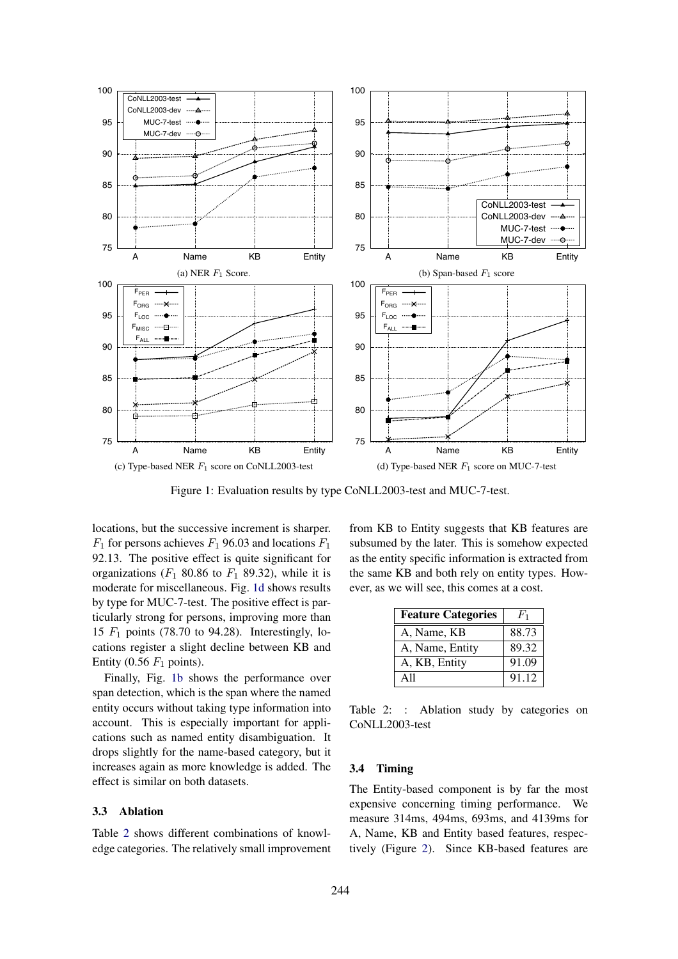

Figure 1: Evaluation results by type CoNLL2003-test and MUC-7-test.

locations, but the successive increment is sharper.  $F_1$  for persons achieves  $F_1$  96.03 and locations  $F_1$ 92.13. The positive effect is quite significant for organizations (*F*<sup>1</sup> 80.86 to *F*<sup>1</sup> 89.32), while it is moderate for miscellaneous. Fig. 1d shows results by type for MUC-7-test. The positive effect is particularly strong for persons, improving more than 15 *F*<sup>1</sup> points (78.70 to 94.28). Interestingly, locations register a slight decline between KB and Entity  $(0.56 \ F_1 \text{ points}).$ 

Finally, Fig. 1b shows the performance over span detection, which is the span where the named entity occurs without taking type information into account. This is especially important for applications such as named entity disambiguation. It drops slightly for the name-based category, but it increases again as more knowledge is added. The effect is similar on both datasets.

#### 3.3 Ablation

Table 2 shows different combinations of knowledge categories. The relatively small improvement from KB to Entity suggests that KB features are subsumed by the later. This is somehow expected as the entity specific information is extracted from the same KB and both rely on entity types. However, as we will see, this comes at a cost.

| <b>Feature Categories</b> | $F_1$ |
|---------------------------|-------|
| A, Name, KB               | 88.73 |
| A, Name, Entity           | 89.32 |
| A, KB, Entity             | 91.09 |
| A 11                      | 91.12 |

Table 2: : Ablation study by categories on CoNLL2003-test

## 3.4 Timing

The Entity-based component is by far the most expensive concerning timing performance. We measure 314ms, 494ms, 693ms, and 4139ms for A, Name, KB and Entity based features, respectively (Figure 2). Since KB-based features are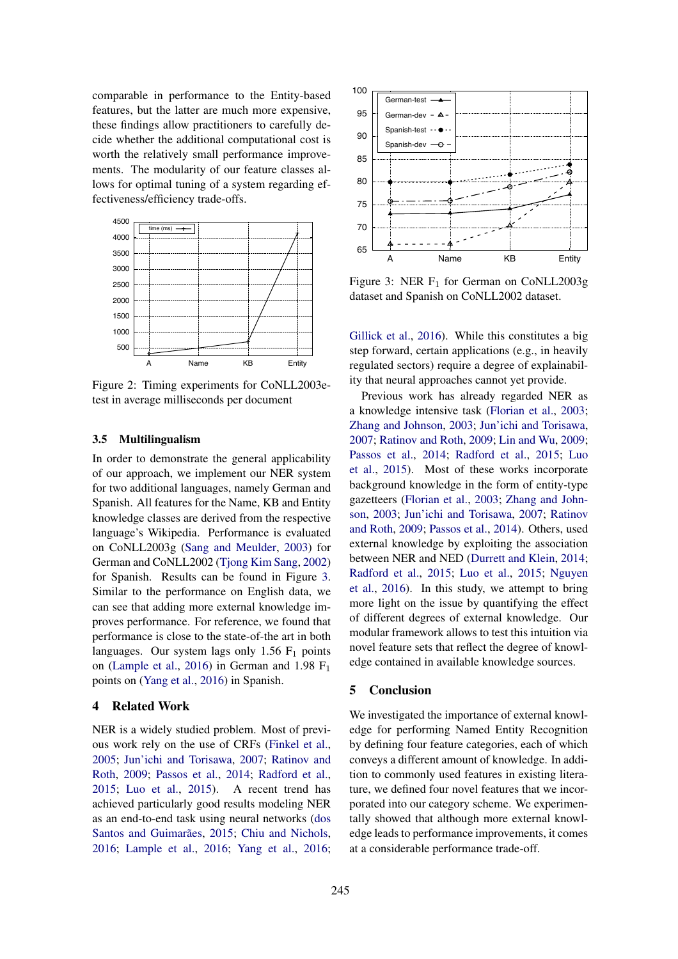comparable in performance to the Entity-based features, but the latter are much more expensive, these findings allow practitioners to carefully decide whether the additional computational cost is worth the relatively small performance improvements. The modularity of our feature classes allows for optimal tuning of a system regarding effectiveness/efficiency trade-offs.



Figure 2: Timing experiments for CoNLL2003etest in average milliseconds per document

#### 3.5 Multilingualism

In order to demonstrate the general applicability of our approach, we implement our NER system for two additional languages, namely German and Spanish. All features for the Name, KB and Entity knowledge classes are derived from the respective language's Wikipedia. Performance is evaluated on CoNLL2003g (Sang and Meulder, 2003) for German and CoNLL2002 (Tjong Kim Sang, 2002) for Spanish. Results can be found in Figure 3. Similar to the performance on English data, we can see that adding more external knowledge improves performance. For reference, we found that performance is close to the state-of-the art in both languages. Our system lags only 1.56  $F_1$  points on (Lample et al., 2016) in German and 1.98  $F_1$ points on (Yang et al., 2016) in Spanish.

## 4 Related Work

NER is a widely studied problem. Most of previous work rely on the use of CRFs (Finkel et al., 2005; Jun'ichi and Torisawa, 2007; Ratinov and Roth, 2009; Passos et al., 2014; Radford et al., 2015; Luo et al., 2015). A recent trend has achieved particularly good results modeling NER as an end-to-end task using neural networks (dos Santos and Guimarães, 2015; Chiu and Nichols, 2016; Lample et al., 2016; Yang et al., 2016;



Figure 3: NER  $F_1$  for German on CoNLL2003g dataset and Spanish on CoNLL2002 dataset.

Gillick et al., 2016). While this constitutes a big step forward, certain applications (e.g., in heavily regulated sectors) require a degree of explainability that neural approaches cannot yet provide.

Previous work has already regarded NER as a knowledge intensive task (Florian et al., 2003; Zhang and Johnson, 2003; Jun'ichi and Torisawa, 2007; Ratinov and Roth, 2009; Lin and Wu, 2009; Passos et al., 2014; Radford et al., 2015; Luo et al., 2015). Most of these works incorporate background knowledge in the form of entity-type gazetteers (Florian et al., 2003; Zhang and Johnson, 2003; Jun'ichi and Torisawa, 2007; Ratinov and Roth, 2009; Passos et al., 2014). Others, used external knowledge by exploiting the association between NER and NED (Durrett and Klein, 2014; Radford et al., 2015; Luo et al., 2015; Nguyen et al., 2016). In this study, we attempt to bring more light on the issue by quantifying the effect of different degrees of external knowledge. Our modular framework allows to test this intuition via novel feature sets that reflect the degree of knowledge contained in available knowledge sources.

# 5 Conclusion

We investigated the importance of external knowledge for performing Named Entity Recognition by defining four feature categories, each of which conveys a different amount of knowledge. In addition to commonly used features in existing literature, we defined four novel features that we incorporated into our category scheme. We experimentally showed that although more external knowledge leads to performance improvements, it comes at a considerable performance trade-off.